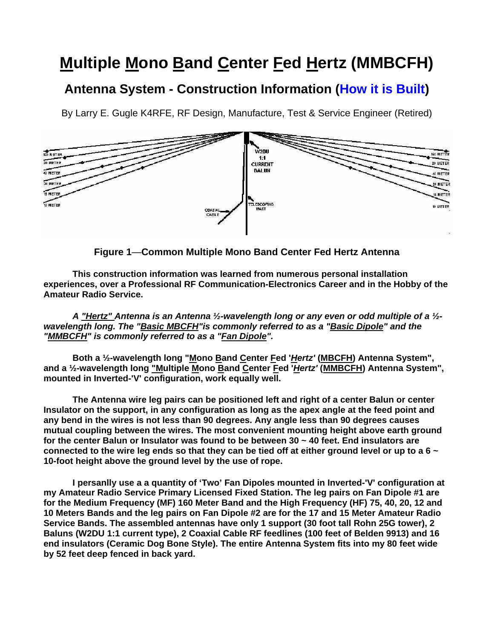## **Multiple Mono Band Center Fed Hertz (MMBCFH)**

## **Antenna System - Construction Information (How it is Built)**

By Larry E. Gugle K4RFE, RF Design, Manufacture, Test & Service Engineer (Retired)



**Figure 1**—**Common Multiple Mono Band Center Fed Hertz Antenna**

**This construction information was learned from numerous personal installation experiences, over a Professional RF Communication-Electronics Career and in the Hobby of the Amateur Radio Service.**

*A "Hertz" Antenna is an Antenna ½-wavelength long or any even or odd multiple of a ½ wavelength long. The "Basic MBCFH"is commonly referred to as a "Basic Dipole" and the "MMBCFH" is commonly referred to as a "Fan Dipole".* 

Both a 1/<sub>2</sub>-wavelength long "Mono Band Center Fed '*Hertz'* (MBCFH) Antenna System", **and a ½-wavelength long "Multiple Mono Band Center Fed '***Hertz'* **(MMBCFH) Antenna System", mounted in Inverted-'V' configuration, work equally well.** 

**The Antenna wire leg pairs can be positioned left and right of a center Balun or center Insulator on the support, in any configuration as long as the apex angle at the feed point and any bend in the wires is not less than 90 degrees. Any angle less than 90 degrees causes mutual coupling between the wires. The most convenient mounting height above earth ground for the center Balun or Insulator was found to be between 30 ~ 40 feet. End insulators are connected to the wire leg ends so that they can be tied off at either ground level or up to a 6 ~ 10-foot height above the ground level by the use of rope.**

**I persanlly use a a quantity of 'Two' Fan Dipoles mounted in Inverted-'V' configuration at my Amateur Radio Service Primary Licensed Fixed Station. The leg pairs on Fan Dipole #1 are for the Medium Frequency (MF) 160 Meter Band and the High Frequency (HF) 75, 40, 20, 12 and 10 Meters Bands and the leg pairs on Fan Dipole #2 are for the 17 and 15 Meter Amateur Radio Service Bands. The assembled antennas have only 1 support (30 foot tall Rohn 25G tower), 2 Baluns (W2DU 1:1 current type), 2 Coaxial Cable RF feedlines (100 feet of Belden 9913) and 16 end insulators (Ceramic Dog Bone Style). The entire Antenna System fits into my 80 feet wide by 52 feet deep fenced in back yard.**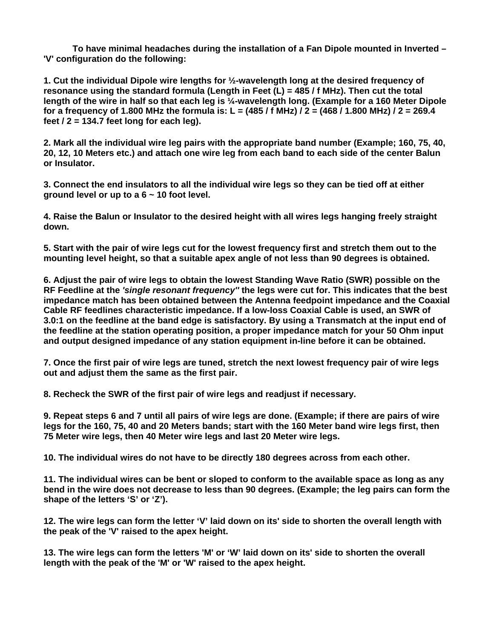**To have minimal headaches during the installation of a Fan Dipole mounted in Inverted – 'V' configuration do the following:** 

**1. Cut the individual Dipole wire lengths for ½-wavelength long at the desired frequency of resonance using the standard formula (Length in Feet (L) = 485 / f MHz). Then cut the total length of the wire in half so that each leg is ¼-wavelength long. (Example for a 160 Meter Dipole for a frequency of 1.800 MHz the formula is: L = (485 / f MHz) / 2 = (468 / 1.800 MHz) / 2 = 269.4 feet / 2 = 134.7 feet long for each leg).**

**2. Mark all the individual wire leg pairs with the appropriate band number (Example; 160, 75, 40, 20, 12, 10 Meters etc.) and attach one wire leg from each band to each side of the center Balun or Insulator.**

**3. Connect the end insulators to all the individual wire legs so they can be tied off at either ground level or up to a 6 ~ 10 foot level.**

**4. Raise the Balun or Insulator to the desired height with all wires legs hanging freely straight down.**

**5. Start with the pair of wire legs cut for the lowest frequency first and stretch them out to the mounting level height, so that a suitable apex angle of not less than 90 degrees is obtained.**

**6. Adjust the pair of wire legs to obtain the lowest Standing Wave Ratio (SWR) possible on the RF Feedline at the** *'single resonant frequency''* **the legs were cut for. This indicates that the best impedance match has been obtained between the Antenna feedpoint impedance and the Coaxial Cable RF feedlines characteristic impedance. If a low-loss Coaxial Cable is used, an SWR of 3.0:1 on the feedline at the band edge is satisfactory. By using a Transmatch at the input end of the feedline at the station operating position, a proper impedance match for your 50 Ohm input and output designed impedance of any station equipment in-line before it can be obtained.**

**7. Once the first pair of wire legs are tuned, stretch the next lowest frequency pair of wire legs out and adjust them the same as the first pair.**

**8. Recheck the SWR of the first pair of wire legs and readjust if necessary.**

**9. Repeat steps 6 and 7 until all pairs of wire legs are done. (Example; if there are pairs of wire legs for the 160, 75, 40 and 20 Meters bands; start with the 160 Meter band wire legs first, then 75 Meter wire legs, then 40 Meter wire legs and last 20 Meter wire legs.**

**10. The individual wires do not have to be directly 180 degrees across from each other.**

**11. The individual wires can be bent or sloped to conform to the available space as long as any bend in the wire does not decrease to less than 90 degrees. (Example; the leg pairs can form the shape of the letters 'S' or 'Z').**

**12. The wire legs can form the letter 'V' laid down on its' side to shorten the overall length with the peak of the 'V' raised to the apex height.**

**13. The wire legs can form the letters 'M' or 'W' laid down on its' side to shorten the overall length with the peak of the 'M' or 'W' raised to the apex height.**